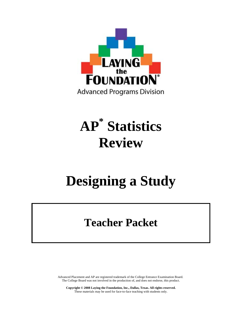

# **AP\* Statistics Review**

# **Designing a Study**

# **Teacher Packet**

Advanced Placement and AP are registered trademark of the College Entrance Examination Board. The College Board was not involved in the production of, and does not endorse, this product.

**Copyright © 2008 Laying the Foundation, Inc., Dallas, Texas. All rights reserved.**  These materials may be used for face-to-face teaching with students only.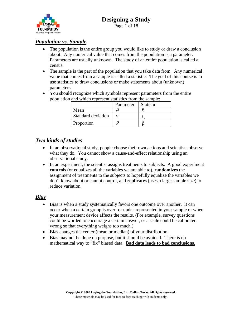

Page 1 of 18

#### *Population vs. Sample*

- The population is the entire group you would like to study or draw a conclusion about. Any numerical value that comes from the population is a parameter. Parameters are usually unknown. The study of an entire population is called a census.
- The sample is the part of the population that you take data from. Any numerical value that comes from a sample is called a statistic. The goal of this course is to use statistics to draw conclusions or make statements about (unknown) parameters.
- You should recognize which symbols represent parameters from the entire population and which represent statistics from the sample:

|                    | Parameter | <b>Statistic</b> |
|--------------------|-----------|------------------|
| Mean               |           |                  |
| Standard deviation |           |                  |
| Proportion         |           |                  |

#### *Two kinds of studies*

- In an observational study, people choose their own actions and scientists observe what they do. You cannot show a cause-and-effect relationship using an observational study.
- In an experiment, the scientist assigns treatments to subjects. A good experiment **controls** (or equalizes all the variables we are able to), **randomizes** the assignment of treatments to the subjects to hopefully equalize the variables we don't know about or cannot control, and **replicates** (uses a large sample size) to reduce variation.

#### *Bias*

- Bias is when a study systematically favors one outcome over another. It can occur when a certain group is over- or under-represented in your sample or when your measurement device affects the results. (For example, survey questions could be worded to encourage a certain answer, or a scale could be calibrated wrong so that everything weighs too much.)
- Bias changes the center (mean or median) of your distribution.
- Bias may not be done on purpose, but it should be avoided. There is no mathematical way to "fix" biased data. **Bad data leads to bad conclusions.**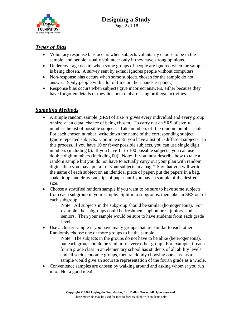

#### *Types of Bias*

- Voluntary response bias occurs when subjects voluntarily choose to be in the sample, and people usually volunteer only if they have strong opinions.
- Undercoverage occurs when some groups of people are ignored when the sample is being chosen. A survey sent by e-mail ignores people without computers.
- Non-response bias occurs when some subjects chosen for the sample do not answer. (Only people with a lot of time on their hands respond.)
- Response bias occurs when subjects give incorrect answers, either because they have forgotten details or they lie about embarrassing or illegal activities.

#### *Sampling Methods*

- A simple random sample (SRS) of size *n* gives every individual and every group of size *n* an equal chance of being chosen. To carry out an SRS of size *n* , number the list of possible subjects. Take numbers off the random number table. For each chosen number, write down the name of the corresponding subject. Ignore repeated subjects. Continue until you have a list of *n* different subjects. In this process, if you have 10 or fewer possible subjects, you can use single digit numbers (including 0). If you have 11 to 100 possible subjects, you can use double digit numbers (including 00). Note: If you must describe how to take a random sample but you do not have to actually carry out your plan with random digits, then you may "put all of your subjects in a bag." Say that you will write the name of each subject on an identical piece of paper, put the papers in a bag, shake it up, and draw out slips of paper until you have a sample of the desired size.
- Choose a stratified random sample if you want to be sure to have some subjects from each subgroup in your sample. Split into subgroups, then take an SRS out of each subgroup.

 Note: All subjects in the subgroup should be similar (homogeneous). For example, the subgroups could be freshmen, sophomores, juniors, and seniors. Then your sample would be sure to have students from each grade level.

• Use a cluster sample if you have many groups that are similar to each other. Randomly choose one or more groups to be the sample.

 Note: The subjects in the groups do not have to be alike (heterogeneous), but each group should be similar to every other group. For example, if each fourth grade class in an elementary school has students of all ability levels and all socioeconomic groups, then randomly choosing one class as a sample would give an accurate representation of the fourth grade as a whole.

• Convenience samples are chosen by walking around and asking whoever you run into. Not a good idea!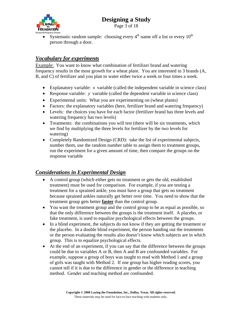

Page 3 of 18

• Systematic random sample: choosing every  $4<sup>th</sup>$  name off a list or every  $10<sup>th</sup>$ person through a door.

#### *Vocabulary for experiments*

Example: You want to know what combination of fertilizer brand and watering frequency results in the most growth for a wheat plant. You are interested in 3 brands (A, B, and C) of fertilizer and you plan to water either twice a week or four times a week.

- Explanatory variable: *x* variable (called the independent variable in science class)
- Response variable: *y* variable (called the dependent variable in science class)
- Experimental units: What you are experimenting on (wheat plants)
- Factors: the explanatory variables (here, fertilizer brand and watering frequency)
- Levels: the choices you have for each factor (fertilizer brand has three levels and watering frequency has two levels)
- Treatments: the combinations you will test (there will be six treatments, which we find by multiplying the three levels for fertilizer by the two levels for watering)
- Completely Randomized Design (CRD): take the list of experimental subjects, number them, use the random number table to assign them to treatment groups, run the experiment for a given amount of time, then compare the groups on the response variable

#### *Considerations in Experimental Design*

- A control group (which either gets no treatment or gets the old, established treatment) must be used for comparison. For example, if you are testing a treatment for a sprained ankle, you must have a group that gets no treatment because sprained ankles naturally get better over time. You need to show that the treatment group gets better **faster** than the control group.
- You want the treatment group and the control group to be as equal as possible, so that the only difference between the groups is the treatment itself. A placebo, or fake treatment, is used to equalize psychological effects between the groups.
- In a blind experiment, the subjects do not know if they are getting the treatment or the placebo. In a double blind experiment, the person handing out the treatments or the person evaluating the results also doesn't know which subjects are in which group. This is to equalize psychological effects.
- At the end of an experiment, if you can say that the difference between the groups could be due to variables A or B, then A and B are confounded variables. For example, suppose a group of boys was taught to read with Method 1 and a group of girls was taught with Method 2. If one group has higher reading scores, you cannot tell if it is due to the difference in gender or the difference in teaching method. Gender and teaching method are confounded.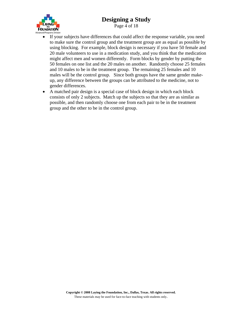

Page 4 of 18

- If your subjects have differences that could affect the response variable, you need to make sure the control group and the treatment group are as equal as possible by using blocking. For example, block design is necessary if you have 50 female and 20 male volunteers to use in a medication study, and you think that the medication might affect men and women differently. Form blocks by gender by putting the 50 females on one list and the 20 males on another. Randomly choose 25 females and 10 males to be in the treatment group. The remaining 25 females and 10 males will be the control group. Since both groups have the same gender makeup, any difference between the groups can be attributed to the medicine, not to gender differences.
- A matched pair design is a special case of block design in which each block consists of only 2 subjects. Match up the subjects so that they are as similar as possible, and then randomly choose one from each pair to be in the treatment group and the other to be in the control group.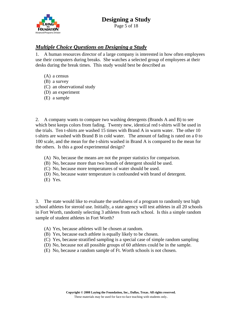

#### *Multiple Choice Questions on Designing a Study*

1. A human resources director of a large company is interested in how often employees use their computers during breaks. She watches a selected group of employees at their desks during the break times. This study would best be described as

- (A) a census
- (B) a survey
- (C) an observational study
- (D) an experiment
- (E) a sample

2. A company wants to compare two washing detergents (Brands A and B) to see which best keeps colors from fading. Twenty new, identical red t-shirts will be used in the trials. Ten t-shirts are washed 15 times with Brand A in warm water. The other 10 t-shirts are washed with Brand B in cold water. The amount of fading is rated on a 0 to 100 scale, and the mean for the t-shirts washed in Brand A is compared to the mean for the others. Is this a good experimental design?

- (A) No, because the means are not the proper statistics for comparison.
- (B) No, because more than two brands of detergent should be used.
- (C) No, because more temperatures of water should be used.
- (D) No, because water temperature is confounded with brand of detergent.
- (E) Yes.

3. The state would like to evaluate the usefulness of a program to randomly test high school athletes for steroid use. Initially, a state agency will test athletes in all 20 schools in Fort Worth, randomly selecting 3 athletes from each school. Is this a simple random sample of student athletes in Fort Worth?

- (A) Yes, because athletes will be chosen at random.
- (B) Yes, because each athlete is equally likely to be chosen.
- (C) Yes, because stratified sampling is a special case of simple random sampling
- (D) No, because not all possible groups of 60 athletes could be in the sample.
- (E) No, because a random sample of Ft. Worth schools is not chosen.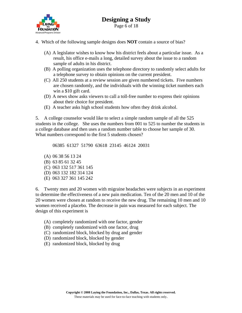

- 4. Which of the following sample designs does **NOT** contain a source of bias?
	- (A) A legislator wishes to know how his district feels about a particular issue. As a result, his office e-mails a long, detailed survey about the issue to a random sample of adults in his district.
	- (B) A polling organization uses the telephone directory to randomly select adults for a telephone survey to obtain opinions on the current president.
	- (C) All 250 students at a review session are given numbered tickets. Five numbers are chosen randomly, and the individuals with the winning ticket numbers each win a \$10 gift card.
	- (D) A news show asks viewers to call a toll-free number to express their opinions about their choice for president.
	- (E) A teacher asks high school students how often they drink alcohol.

5. A college counselor would like to select a simple random sample of all the 525 students in the college. She uses the numbers from 001 to 525 to number the students in a college database and then uses a random number table to choose her sample of 30. What numbers correspond to the first 5 students chosen?

06385 61327 51790 63618 23145 46124 20031

 (A) 06 38 56 13 24 (B) 63 85 61 32 45 (C) 063 132 517 361 145 (D) 063 132 182 314 124 (E) 063 327 361 145 242

6. Twenty men and 20 women with migraine headaches were subjects in an experiment to determine the effectiveness of a new pain medication. Ten of the 20 men and 10 of the 20 women were chosen at random to receive the new drug. The remaining 10 men and 10 women received a placebo. The decrease in pain was measured for each subject. The design of this experiment is

- (A) completely randomized with one factor, gender
- (B) completely randomized with one factor, drug
- (C) randomized block, blocked by drug and gender
- (D) randomized block, blocked by gender
- (E) randomized block, blocked by drug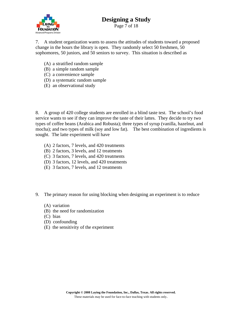# **FOUNDATION Advanced Programs Divisio**

# **Designing a Study**

Page 7 of 18

7. A student organization wants to assess the attitudes of students toward a proposed change in the hours the library is open. They randomly select 50 freshmen, 50 sophomores, 50 juniors, and 50 seniors to survey. This situation is described as

- (A) a stratified random sample
- (B) a simple random sample
- (C) a convenience sample
- (D) a systematic random sample
- (E) an observational study

8. A group of 420 college students are enrolled in a blind taste test. The school's food service wants to see if they can improve the taste of their lattes. They decide to try two types of coffee beans (Arabica and Robusta); three types of syrup (vanilla, hazelnut, and mocha); and two types of milk (soy and low fat). The best combination of ingredients is sought. The latte experiment will have

- (A) 2 factors, 7 levels, and 420 treatments
- (B) 2 factors, 3 levels, and 12 treatments
- (C) 3 factors, 7 levels, and 420 treatments
- (D) 3 factors, 12 levels, and 420 treatments
- (E) 3 factors, 7 levels, and 12 treatments
- 9. The primary reason for using blocking when designing an experiment is to reduce
	- (A) variation
	- (B) the need for randomization
	- (C) bias
	- (D) confounding
	- (E) the sensitivity of the experiment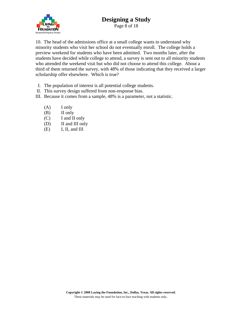

Page 8 of 18

10. The head of the admissions office at a small college wants to understand why minority students who visit her school do not eventually enroll. The college holds a preview weekend for students who have been admitted. Two months later, after the students have decided while college to attend, a survey is sent out to all minority students who attended the weekend visit but who did not choose to attend this college. About a third of them returned the survey, with 48% of those indicating that they received a larger scholarship offer elsewhere. Which is true?

- I. The population of interest is all potential college students.
- II. This survey design suffered from non-response bias.
- III. Because it comes from a sample, 48% is a parameter, not a statistic.
	- $(A)$  I only
	- (B) II only
	- (C) I and II only
	- (D) II and III only
	- (E) I, II, and III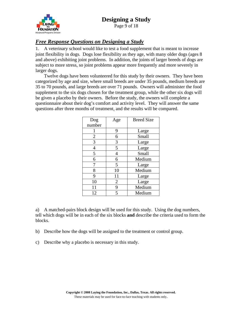

Page 9 of 18

#### *Free Response Questions on Designing a Study*

1. A veterinary school would like to test a food supplement that is meant to increase joint flexibility in dogs. Dogs lose flexibility as they age, with many older dogs (ages 8 and above) exhibiting joint problems. In addition, the joints of larger breeds of dogs are subject to more stress, so joint problems appear more frequently and more severely in larger dogs.

 Twelve dogs have been volunteered for this study by their owners. They have been categorized by age and size, where small breeds are under 35 pounds, medium breeds are 35 to 70 pounds, and large breeds are over 71 pounds. Owners will administer the food supplement to the six dogs chosen for the treatment group, while the other six dogs will be given a placebo by their owners. Before the study, the owners will complete a questionnaire about their dog's comfort and activity level. They will answer the same questions after three months of treatment, and the results will be compared.

| Dog    | Age            | <b>Breed Size</b> |
|--------|----------------|-------------------|
| number |                |                   |
|        | 9              | Large             |
| 2      | 6              | Small             |
| 3      | 3              | Large             |
| 4      | 5              | Large             |
| 5      | 4              | Small             |
| 6      | 6              | Medium            |
|        | 5              | Large             |
| 8      | 10             | Medium            |
| 9      | 11             | Large             |
| 10     | $\overline{2}$ | Large             |
| 11     | 9              | Medium            |
| 12     | 5              | Medium            |

a) A matched-pairs block design will be used for this study. Using the dog numbers, tell which dogs will be in each of the six blocks **and** describe the criteria used to form the blocks.

b) Describe how the dogs will be assigned to the treatment or control group.

c) Describe why a placebo is necessary in this study.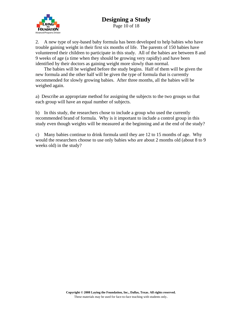

Page 10 of 18

2. A new type of soy-based baby formula has been developed to help babies who have trouble gaining weight in their first six months of life. The parents of 150 babies have volunteered their children to participate in this study. All of the babies are between 8 and 9 weeks of age (a time when they should be growing very rapidly) and have been identified by their doctors as gaining weight more slowly than normal.

 The babies will be weighed before the study begins. Half of them will be given the new formula and the other half will be given the type of formula that is currently recommended for slowly growing babies. After three months, all the babies will be weighed again.

a) Describe an appropriate method for assigning the subjects to the two groups so that each group will have an equal number of subjects.

b) In this study, the researchers chose to include a group who used the currently recommended brand of formula. Why is it important to include a control group in this study even though weights will be measured at the beginning and at the end of the study?

c) Many babies continue to drink formula until they are 12 to 15 months of age. Why would the researchers choose to use only babies who are about 2 months old (about 8 to 9 weeks old) in the study?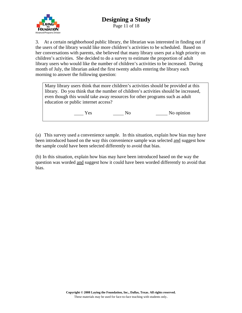

Page 11 of 18

3. At a certain neighborhood public library, the librarian was interested in finding out if the users of the library would like more children's activities to be scheduled. Based on her conversations with parents, she believed that many library users put a high priority on children's activities. She decided to do a survey to estimate the proportion of adult library users who would like the number of children's activities to be increased. During month of July, the librarian asked the first twenty adults entering the library each morning to answer the following question:

Many library users think that more children's activities should be provided at this library. Do you think that the number of children's activities should be increased, even though this would take away resources for other programs such as adult education or public internet access?

Yes No No No opinion

(a) This survey used a convenience sample. In this situation, explain how bias may have been introduced based on the way this convenience sample was selected and suggest how the sample could have been selected differently to avoid that bias.

(b) In this situation, explain how bias may have been introduced based on the way the question was worded and suggest how it could have been worded differently to avoid that bias.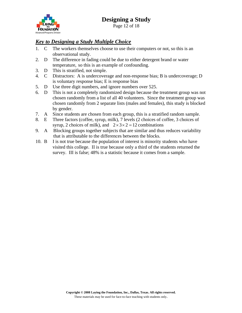

*Key to Designing a Study Multiple Choice*

- 1. C The workers themselves choose to use their computers or not, so this is an observational study.
- 2. D The difference in fading could be due to either detergent brand or water temperature, so this is an example of confounding.
- 3. D This is stratified, not simple.
- 4. C Distractors: A is undercoverage and non-response bias; B is undercoverage; D is voluntary response bias; E is response bias
- 5. D Use three digit numbers, and ignore numbers over 525.
- 6. D This is not a completely randomized design because the treatment group was not chosen randomly from a list of all 40 volunteers. Since the treatment group was chosen randomly from 2 separate lists (males and females), this study is blocked by gender.
- 7. A Since students are chosen from each group, this is a stratified random sample.
- 8. E Three factors (coffee, syrup, milk), 7 levels (2 choices of coffee, 3 choices of syrup, 2 choices of milk), and  $2 \times 3 \times 2 = 12$  combinations
- 9. A Blocking groups together subjects that are similar and thus reduces variability that is attributable to the differences between the blocks.
- 10. B I is not true because the population of interest is minority students who have visited this college. II is true because only a third of the students returned the survey. III is false; 48% is a statistic because it comes from a sample.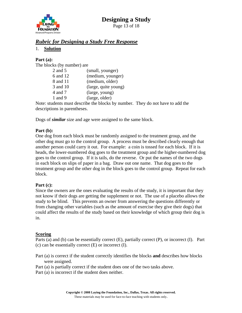



Page 13 of 18

#### *Rubric for Designing a Study Free Response*

1. **Solution**

#### **Part (a):**

The blocks (by number) are

| (small, younger)     |
|----------------------|
| (medium, younger)    |
| (medium, older)      |
| (large, quite young) |
| (large, young)       |
| (large, older)       |
|                      |

Note: students must describe the blocks by number. They do not have to add the descriptions in parentheses.

Dogs of *similar* size and age were assigned to the same block.

#### **Part (b):**

One dog from each block must be randomly assigned to the treatment group, and the other dog must go to the control group. A process must be described clearly enough that another person could carry it out. For example: a coin is tossed for each block. If it is heads, the lower-numbered dog goes to the treatment group and the higher-numbered dog goes to the control group. If it is tails, do the reverse. Or put the names of the two dogs in each block on slips of paper in a bag. Draw out one name. That dog goes to the treatment group and the other dog in the block goes to the control group. Repeat for each block.

#### **Part (c):**

Since the owners are the ones evaluating the results of the study, it is important that they not know if their dogs are getting the supplement or not. The use of a placebo allows the study to be blind. This prevents an owner from answering the questions differently or from changing other variables (such as the amount of exercise they give their dogs) that could affect the results of the study based on their knowledge of which group their dog is in.

#### **Scoring**

Parts (a) and (b) can be essentially correct (E), partially correct (P), or incorrect (I). Part (c) can be essentially correct (E) or incorrect (I).

- Part (a) is correct if the student correctly identifies the blocks **and** describes how blocks were assigned.
- Part (a) is partially correct if the student does one of the two tasks above.
- Part (a) is incorrect if the student does neither.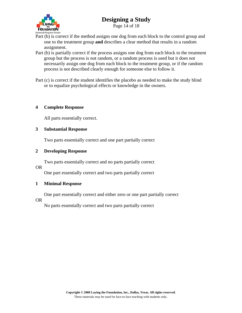

Page 14 of 18

- Part (b) is correct if the method assigns one dog from each block to the control group and one to the treatment group **and** describes a clear method that results in a random assignment.
- Part (b) is partially correct if the process assigns one dog from each block to the treatment group but the process is not random, or a random process is used but it does not necessarily assign one dog from each block to the treatment group, or if the random process is not described clearly enough for someone else to follow it.

Part (c) is correct if the student identifies the placebo as needed to make the study blind or to equalize psychological effects or knowledge in the owners.

#### **4 Complete Response**

All parts essentially correct.

#### **3 Substantial Response**

Two parts essentially correct and one part partially correct

#### **2 Developing Response**

Two parts essentially correct and no parts partially correct

#### OR

One part essentially correct and two parts partially correct

#### **1 Minimal Response**

One part essentially correct and either zero or one part partially correct

OR

No parts essentially correct and two parts partially correct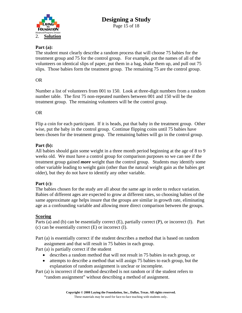

#### **Part (a):**

The student must clearly describe a random process that will choose 75 babies for the treatment group and 75 for the control group. For example, put the names of all of the volunteers on identical slips of paper, put them in a bag, shake them up, and pull out 75 slips. Those babies form the treatment group. The remaining 75 are the control group.

#### OR

Number a list of volunteers from 001 to 150. Look at three-digit numbers from a random number table. The first 75 non-repeated numbers between 001 and 150 will be the treatment group. The remaining volunteers will be the control group.

#### OR

Flip a coin for each participant. If it is heads, put that baby in the treatment group. Other wise, put the baby in the control group. Continue flipping coins until 75 babies have been chosen for the treatment group. The remaining babies will go in the control group.

#### **Part (b):**

All babies should gain some weight in a three month period beginning at the age of 8 to 9 weeks old. We must have a control group for comparison purposes so we can see if the treatment group gained *more* weight than the control group. Students may identify some other variable leading to weight gain (other than the natural weight gain as the babies get older), but they do not have to identify any other variable.

#### **Part (c):**

The babies chosen for the study are all about the same age in order to reduce variation. Babies of different ages are expected to grow at different rates, so choosing babies of the same approximate age helps insure that the groups are similar in growth rate, eliminating age as a confounding variable and allowing more direct comparison between the groups.

#### **Scoring**

Parts (a) and (b) can be essentially correct (E), partially correct (P), or incorrect (I). Part (c) can be essentially correct (E) or incorrect (I).

Part (a) is essentially correct if the student describes a method that is based on random assignment and that will result in 75 babies in each group.

Part (a) is partially correct if the student

- describes a random method that will not result in 75 babies in each group, or
- attempts to describe a method that will assign 75 babies to each group, but the explanation of random assignment is unclear or incomplete.
- Part (a) is incorrect if the method described is not random or if the student refers to "random assignment" without describing a method of assignment.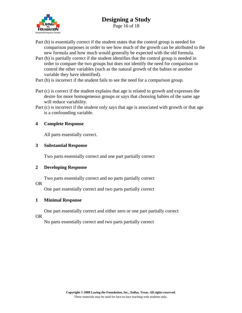

Page 16 of 18

- Part (b) is essentially correct if the student states that the control group is needed for comparison purposes in order to see how much of the growth can be attributed to the new formula and how much would generally be expected with the old formula.
- Part (b) is partially correct if the student identifies that the control group is needed in order to compare the two groups but does not identify the need for comparison to control the other variables (such as the natural growth of the babies or another variable they have identified).
- Part (b) is incorrect if the student fails to see the need for a comparison group.
- Part (c) is correct if the student explains that age is related to growth and expresses the desire for more homogeneous groups or says that choosing babies of the same age will reduce variability.
- Part (c) is incorrect if the student only says that age is associated with growth or that age is a confounding variable.

#### **4 Complete Response**

All parts essentially correct.

#### **3 Substantial Response**

Two parts essentially correct and one part partially correct

#### **2 Developing Response**

Two parts essentially correct and no parts partially correct

#### OR

One part essentially correct and two parts partially correct

#### **1 Minimal Response**

One part essentially correct and either zero or one part partially correct

#### OR

No parts essentially correct and two parts partially correct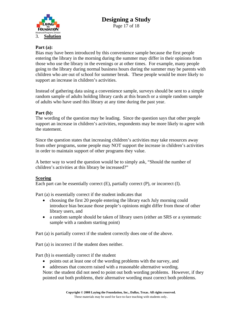

#### **Part (a):**

Bias may have been introduced by this convenience sample because the first people entering the library in the morning during the summer may differ in their opinions from those who use the library in the evenings or at other times. For example, many people going to the library during normal business hours during the summer may be parents with children who are out of school for summer break. These people would be more likely to support an increase in children's activities.

Instead of gathering data using a convenience sample, surveys should be sent to a simple random sample of adults holding library cards at this branch or a simple random sample of adults who have used this library at any time during the past year.

#### **Part (b):**

The wording of the question may be leading. Since the question says that other people support an increase in children's activities, respondents may be more likely to agree with the statement.

Since the question states that increasing children's activities may take resources away from other programs, some people may NOT support the increase in children's activities in order to maintain support of other programs they value.

A better way to word the question would be to simply ask, "Should the number of children's activities at this library be increased?"

#### **Scoring**

Each part can be essentially correct (E), partially correct (P), or incorrect (I).

Part (a) is essentially correct if the student indicates that

- choosing the first 20 people entering the library each July morning could introduce bias because those people's opinions might differ from those of other library users, and
- a random sample should be taken of library users (either an SRS or a systematic sample with a random starting point)

Part (a) is partially correct if the student correctly does one of the above.

Part (a) is incorrect if the student does neither.

Part (b) is essentially correct if the student

- points out at least one of the wording problems with the survey, and
- addresses that concern raised with a reasonable alternative wording.

Note: the student did not need to point out both wording problems. However, if they pointed out both problems, their alternative wording must correct both problems.